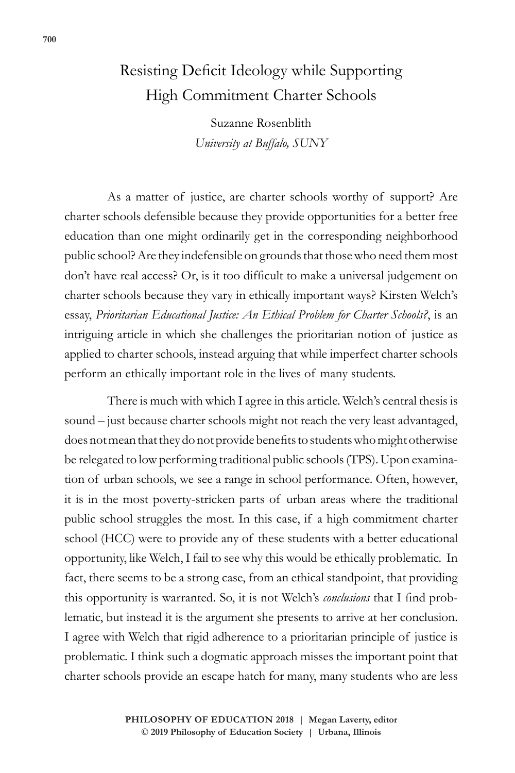## Resisting Deficit Ideology while Supporting High Commitment Charter Schools

Suzanne Rosenblith *University at Buffalo, SUNY*

As a matter of justice, are charter schools worthy of support? Are charter schools defensible because they provide opportunities for a better free education than one might ordinarily get in the corresponding neighborhood public school? Are they indefensible on grounds that those who need them most don't have real access? Or, is it too difficult to make a universal judgement on charter schools because they vary in ethically important ways? Kirsten Welch's essay, *Prioritarian Educational Justice: An Ethical Problem for Charter Schools?*, is an intriguing article in which she challenges the prioritarian notion of justice as applied to charter schools, instead arguing that while imperfect charter schools perform an ethically important role in the lives of many students.

There is much with which I agree in this article. Welch's central thesis is sound – just because charter schools might not reach the very least advantaged, does not mean that they do not provide benefits to students who might otherwise be relegated to low performing traditional public schools (TPS). Upon examination of urban schools, we see a range in school performance. Often, however, it is in the most poverty-stricken parts of urban areas where the traditional public school struggles the most. In this case, if a high commitment charter school (HCC) were to provide any of these students with a better educational opportunity, like Welch, I fail to see why this would be ethically problematic. In fact, there seems to be a strong case, from an ethical standpoint, that providing this opportunity is warranted. So, it is not Welch's *conclusions* that I find problematic, but instead it is the argument she presents to arrive at her conclusion. I agree with Welch that rigid adherence to a prioritarian principle of justice is problematic. I think such a dogmatic approach misses the important point that charter schools provide an escape hatch for many, many students who are less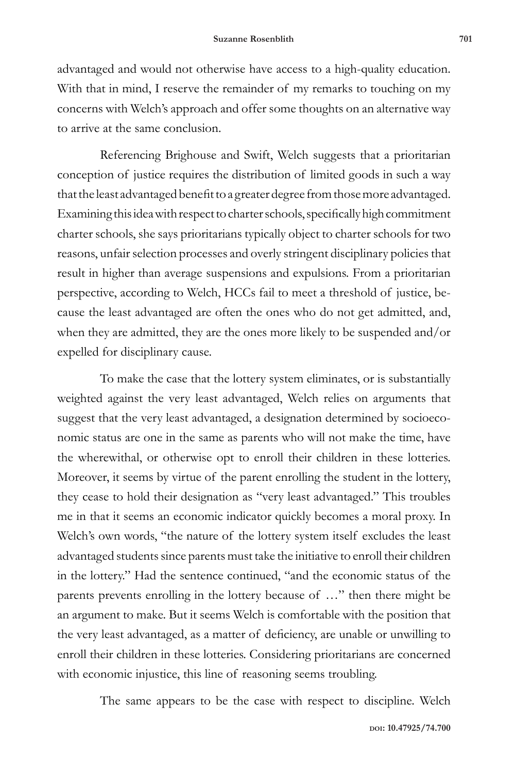advantaged and would not otherwise have access to a high-quality education. With that in mind, I reserve the remainder of my remarks to touching on my concerns with Welch's approach and offer some thoughts on an alternative way to arrive at the same conclusion.

Referencing Brighouse and Swift, Welch suggests that a prioritarian conception of justice requires the distribution of limited goods in such a way that the least advantaged benefit to a greater degree from those more advantaged. Examining this idea with respect to charter schools, specifically high commitment charter schools, she says prioritarians typically object to charter schools for two reasons, unfair selection processes and overly stringent disciplinary policies that result in higher than average suspensions and expulsions. From a prioritarian perspective, according to Welch, HCCs fail to meet a threshold of justice, because the least advantaged are often the ones who do not get admitted, and, when they are admitted, they are the ones more likely to be suspended and/or expelled for disciplinary cause.

To make the case that the lottery system eliminates, or is substantially weighted against the very least advantaged, Welch relies on arguments that suggest that the very least advantaged, a designation determined by socioeconomic status are one in the same as parents who will not make the time, have the wherewithal, or otherwise opt to enroll their children in these lotteries. Moreover, it seems by virtue of the parent enrolling the student in the lottery, they cease to hold their designation as "very least advantaged." This troubles me in that it seems an economic indicator quickly becomes a moral proxy. In Welch's own words, "the nature of the lottery system itself excludes the least advantaged students since parents must take the initiative to enroll their children in the lottery." Had the sentence continued, "and the economic status of the parents prevents enrolling in the lottery because of …" then there might be an argument to make. But it seems Welch is comfortable with the position that the very least advantaged, as a matter of deficiency, are unable or unwilling to enroll their children in these lotteries. Considering prioritarians are concerned with economic injustice, this line of reasoning seems troubling.

The same appears to be the case with respect to discipline. Welch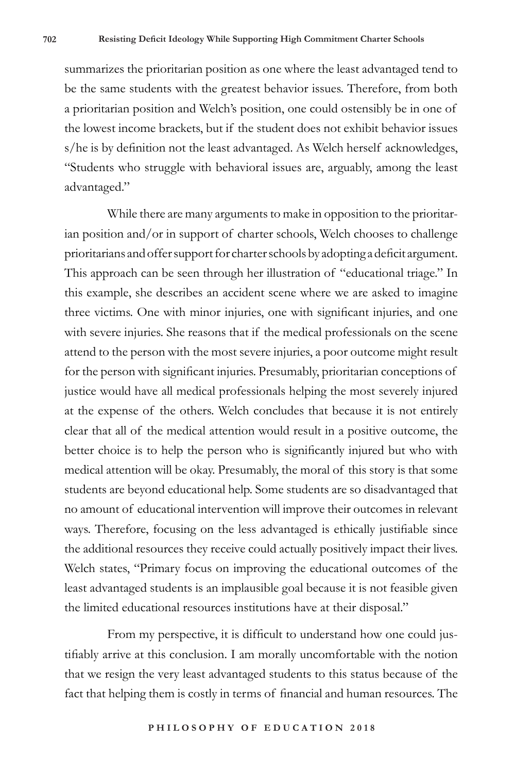summarizes the prioritarian position as one where the least advantaged tend to be the same students with the greatest behavior issues. Therefore, from both a prioritarian position and Welch's position, one could ostensibly be in one of the lowest income brackets, but if the student does not exhibit behavior issues s/he is by definition not the least advantaged. As Welch herself acknowledges, "Students who struggle with behavioral issues are, arguably, among the least advantaged."

While there are many arguments to make in opposition to the prioritarian position and/or in support of charter schools, Welch chooses to challenge prioritarians and offer support for charter schools by adopting a deficit argument. This approach can be seen through her illustration of "educational triage." In this example, she describes an accident scene where we are asked to imagine three victims. One with minor injuries, one with significant injuries, and one with severe injuries. She reasons that if the medical professionals on the scene attend to the person with the most severe injuries, a poor outcome might result for the person with significant injuries. Presumably, prioritarian conceptions of justice would have all medical professionals helping the most severely injured at the expense of the others. Welch concludes that because it is not entirely clear that all of the medical attention would result in a positive outcome, the better choice is to help the person who is significantly injured but who with medical attention will be okay. Presumably, the moral of this story is that some students are beyond educational help. Some students are so disadvantaged that no amount of educational intervention will improve their outcomes in relevant ways. Therefore, focusing on the less advantaged is ethically justifiable since the additional resources they receive could actually positively impact their lives. Welch states, "Primary focus on improving the educational outcomes of the least advantaged students is an implausible goal because it is not feasible given the limited educational resources institutions have at their disposal."

From my perspective, it is difficult to understand how one could justifiably arrive at this conclusion. I am morally uncomfortable with the notion that we resign the very least advantaged students to this status because of the fact that helping them is costly in terms of financial and human resources. The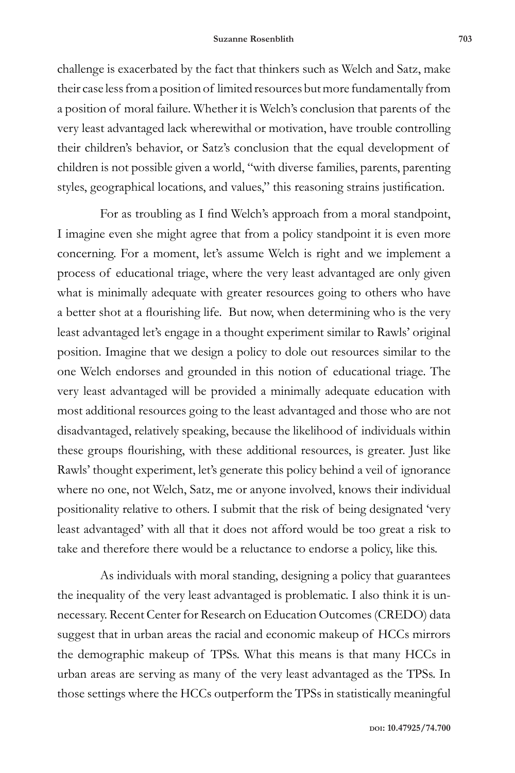challenge is exacerbated by the fact that thinkers such as Welch and Satz, make their case less from a position of limited resources but more fundamentally from a position of moral failure. Whether it is Welch's conclusion that parents of the very least advantaged lack wherewithal or motivation, have trouble controlling their children's behavior, or Satz's conclusion that the equal development of children is not possible given a world, "with diverse families, parents, parenting styles, geographical locations, and values," this reasoning strains justification.

For as troubling as I find Welch's approach from a moral standpoint, I imagine even she might agree that from a policy standpoint it is even more concerning. For a moment, let's assume Welch is right and we implement a process of educational triage, where the very least advantaged are only given what is minimally adequate with greater resources going to others who have a better shot at a flourishing life. But now, when determining who is the very least advantaged let's engage in a thought experiment similar to Rawls' original position. Imagine that we design a policy to dole out resources similar to the one Welch endorses and grounded in this notion of educational triage. The very least advantaged will be provided a minimally adequate education with most additional resources going to the least advantaged and those who are not disadvantaged, relatively speaking, because the likelihood of individuals within these groups flourishing, with these additional resources, is greater. Just like Rawls' thought experiment, let's generate this policy behind a veil of ignorance where no one, not Welch, Satz, me or anyone involved, knows their individual positionality relative to others. I submit that the risk of being designated 'very least advantaged' with all that it does not afford would be too great a risk to take and therefore there would be a reluctance to endorse a policy, like this.

As individuals with moral standing, designing a policy that guarantees the inequality of the very least advantaged is problematic. I also think it is unnecessary. Recent Center for Research on Education Outcomes (CREDO) data suggest that in urban areas the racial and economic makeup of HCCs mirrors the demographic makeup of TPSs. What this means is that many HCCs in urban areas are serving as many of the very least advantaged as the TPSs. In those settings where the HCCs outperform the TPSs in statistically meaningful